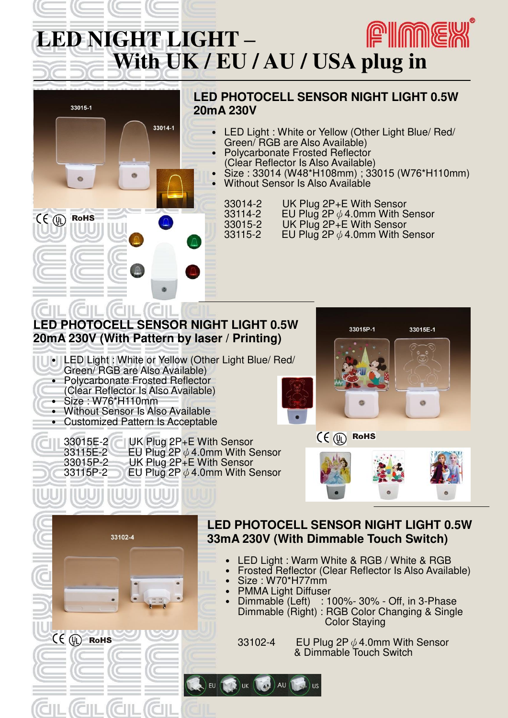# **PIME LED NIGHT LIGHT – With UK / EU / AU / USA plug in**



lık

EU

CE (D) ROHS

33102-4 EU Plug 2P $\phi$  4.0mm With Sensor & Dimmable Touch Switch

Color Staying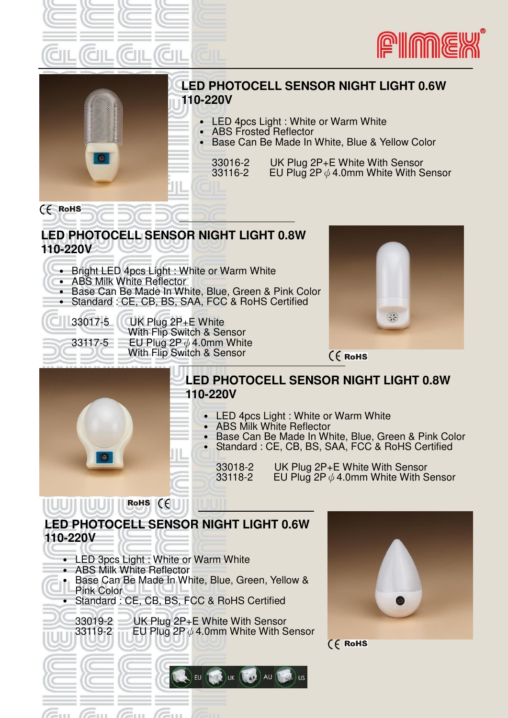





### **LED PHOTOCELL SENSOR NIGHT LIGHT 0.6W 110-220V**

- LED 4pcs Light : White or Warm White
- ․ ABS Frosted Reflector
- ․ Base Can Be Made In White, Blue & Yellow Color

33016-2 UK Plug  $2P+E$  White With Sensor<br>33116-2 EU Plug  $2P \& 4.0$ mm White With S EU Plug 2P  $\phi$  4.0mm White With Sensor

#### **LED PHOTOCELL SENSOR NIGHT LIGHT 0.8W 110-220V**

- Bright LED 4pcs Light : White or Warm White
- ․ ABS Milk White Reflector
- Base Can Be Made In White, Blue, Green & Pink Color
- Standard : CE, CB, BS, SAA, FCC & RoHS Certified

 $(6$  RoHS

33017-5 UK Plug 2P+E White With Flip Switch & Sensor 33117-5 EU Plug 2P $\phi$  4.0mm White With Flip Switch & Sensor



(E RoHS



### **LED PHOTOCELL SENSOR NIGHT LIGHT 0.8W 110-220V**

- ․ LED 4pcs Light : White or Warm White
	- ․ ABS Milk White Reflector

 $\lambda$ U

- Base Can Be Made In White, Blue, Green & Pink Color
- ․ Standard : CE, CB, BS, SAA, FCC & RoHS Certified

33018-2 UK Plug  $2P+E$  White With Sensor<br>33118-2 EU Plug  $2P \& 4.0$ mm White With S EU Plug 2P $\phi$  4.0mm White With Sensor

# **LED PHOTOCELL SENSOR NIGHT LIGHT 0.6W 110-220V**

- LED 3pcs Light : White or Warm White
- ․ ABS Milk White Reflector
- Base Can Be Made In White, Blue, Green, Yellow & Pink Color
- ․ Standard : CE, CB, BS, FCC & RoHS Certified
	- 33019-2 UK Plug 2P+E White With Sensor<br>33119-2 EU Plug 2P  $\phi$  4.0mm White With S EU Plug 2P $\phi$  4.0mm White With Sensor

 $|EU|$ 

 $\bigcap$  UK  $\bigcap$ 

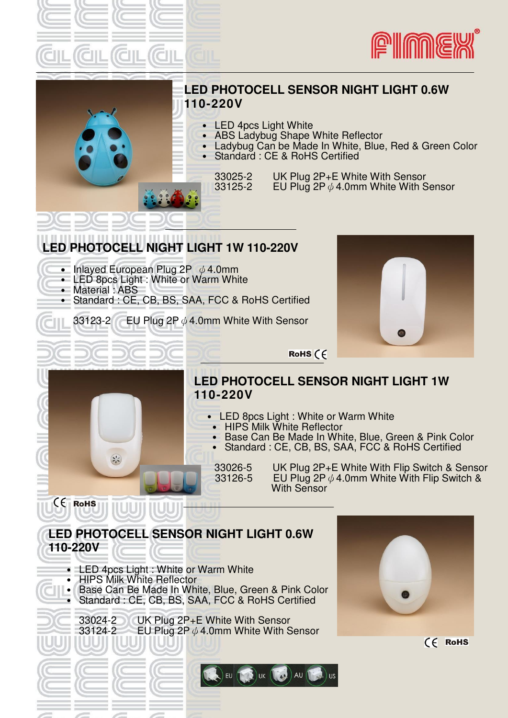





### **LED PHOTOCELL SENSOR NIGHT LIGHT 0.6W 110-220V**

- ․ LED 4pcs Light White
- **ABS Ladybug Shape White Reflector** 
	- Ladybug Can be Made In White, Blue, Red & Green Color
	- Standard : CE & RoHS Certified

33025-2 UK Plug 2P+E White With Sensor<br>33125-2 EU Plug 2P  $\phi$  4.0mm White With S EU Plug 2P $\phi$  4.0mm White With Sensor

## **LED PHOTOCELL NIGHT LIGHT 1W 110-220V**

- ․ Inlayed European Plug 2P ψ4.0mm
- LED 8pcs Light : White or Warm White
	- ․ Material : ABS

 $\left(\frac{1}{2},\frac{1}{2}\right)$ 

i

 $C \in$  RoHS

- ․ Standard : CE, CB, BS, SAA, FCC & RoHS Certified
	- 33123-2 EU Plug 2P  $\phi$  4.0mm White With Sensor



RoHS  $\zeta$ 

## **LED PHOTOCELL SENSOR NIGHT LIGHT 1W 110-220V**

- ․ LED 8pcs Light : White or Warm White
	- ․ HIPS Milk White Reflector
	- ․ Base Can Be Made In White, Blue, Green & Pink Color
	- Standard : CE, CB, BS, SAA, FCC & RoHS Certified

33026-5 UK Plug 2P+E White With Flip Switch & Sensor<br>33126-5 EU Plug 2P  $\phi$  4.0mm White With Flip Switch & EU Plug 2P  $\phi$  4.0mm White With Flip Switch & With Sensor